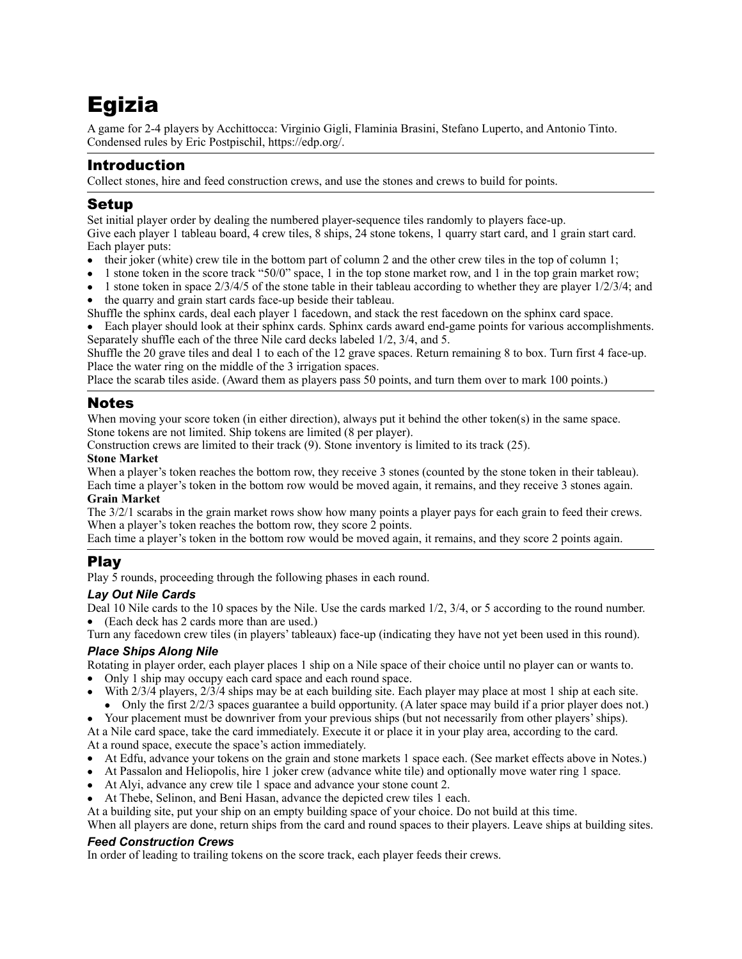# Egizia

A game for 2-4 players by Acchittocca: Virginio Gigli, Flaminia Brasini, Stefano Luperto, and Antonio Tinto. Condensed rules by Eric Postpischil,<https://edp.org/>.

# Introduction

Collect stones, hire and feed construction crews, and use the stones and crews to build for points.

## Setup

Set initial player order by dealing the numbered player-sequence tiles randomly to players face-up. Give each player 1 tableau board, 4 crew tiles, 8 ships, 24 stone tokens, 1 quarry start card, and 1 grain start card.

- Each player puts: • their joker (white) crew tile in the bottom part of column 2 and the other crew tiles in the top of column 1;
- 1 stone token in the score track "50/0" space, 1 in the top stone market row, and 1 in the top grain market row;
- 1 stone token in space 2/3/4/5 of the stone table in their tableau according to whether they are player 1/2/3/4; and

the quarry and grain start cards face-up beside their tableau.

Shuffle the sphinx cards, deal each player 1 facedown, and stack the rest facedown on the sphinx card space.

• Each player should look at their sphinx cards. Sphinx cards award end-game points for various accomplishments. Separately shuffle each of the three Nile card decks labeled 1/2, 3/4, and 5.

Shuffle the 20 grave tiles and deal 1 to each of the 12 grave spaces. Return remaining 8 to box. Turn first 4 face-up. Place the water ring on the middle of the 3 irrigation spaces.

Place the scarab tiles aside. (Award them as players pass 50 points, and turn them over to mark 100 points.)

## Notes

When moving your score token (in either direction), always put it behind the other token(s) in the same space. Stone tokens are not limited. Ship tokens are limited (8 per player).

Construction crews are limited to their track (9). Stone inventory is limited to its track (25).

#### **Stone Market**

When a player's token reaches the bottom row, they receive 3 stones (counted by the stone token in their tableau). Each time a player's token in the bottom row would be moved again, it remains, and they receive 3 stones again. **Grain Market** 

The 3/2/1 scarabs in the grain market rows show how many points a player pays for each grain to feed their crews. When a player's token reaches the bottom row, they score 2 points.

Each time a player's token in the bottom row would be moved again, it remains, and they score 2 points again.

# Play

Play 5 rounds, proceeding through the following phases in each round.

#### *Lay Out Nile Cards*

Deal 10 Nile cards to the 10 spaces by the Nile. Use the cards marked 1/2, 3/4, or 5 according to the round number. • (Each deck has 2 cards more than are used.)

Turn any facedown crew tiles (in players' tableaux) face-up (indicating they have not yet been used in this round).

#### *Place Ships Along Nile*

Rotating in player order, each player places 1 ship on a Nile space of their choice until no player can or wants to.

- Only 1 ship may occupy each card space and each round space.
- With 2/3/4 players, 2/3/4 ships may be at each building site. Each player may place at most 1 ship at each site.

• Only the first 2/2/3 spaces guarantee a build opportunity. (A later space may build if a prior player does not.) • Your placement must be downriver from your previous ships (but not necessarily from other players' ships).

At a Nile card space, take the card immediately. Execute it or place it in your play area, according to the card. At a round space, execute the space's action immediately.

- At Edfu, advance your tokens on the grain and stone markets 1 space each. (See market effects above in Notes.)
- At Passalon and Heliopolis, hire 1 joker crew (advance white tile) and optionally move water ring 1 space.
- At Alyi, advance any crew tile 1 space and advance your stone count 2.
- At Thebe, Selinon, and Beni Hasan, advance the depicted crew tiles 1 each.

At a building site, put your ship on an empty building space of your choice. Do not build at this time.

When all players are done, return ships from the card and round spaces to their players. Leave ships at building sites.

#### *Feed Construction Crews*

In order of leading to trailing tokens on the score track, each player feeds their crews.